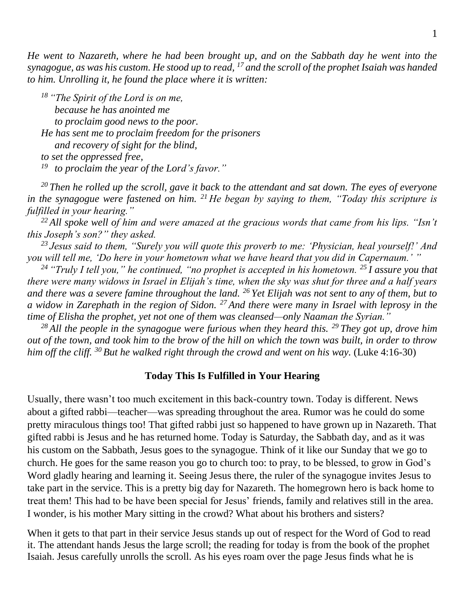*He went to Nazareth, where he had been brought up, and on the Sabbath day he went into the synagogue, as was his custom. He stood up to read, <sup>17</sup> and the scroll of the prophet Isaiah was handed to him. Unrolling it, he found the place where it is written:* 

*<sup>18</sup> "The Spirit of the Lord is on me, because he has anointed me to proclaim good news to the poor. He has sent me to proclaim freedom for the prisoners and recovery of sight for the blind, to set the oppressed free,* 

*<sup>19</sup> to proclaim the year of the Lord's favor."*

*<sup>20</sup> Then he rolled up the scroll, gave it back to the attendant and sat down. The eyes of everyone in the synagogue were fastened on him. <sup>21</sup> He began by saying to them, "Today this scripture is fulfilled in your hearing."* 

*<sup>22</sup> All spoke well of him and were amazed at the gracious words that came from his lips. "Isn't this Joseph's son?" they asked.* 

*<sup>23</sup> Jesus said to them, "Surely you will quote this proverb to me: 'Physician, heal yourself!' And you will tell me, 'Do here in your hometown what we have heard that you did in Capernaum.' "* 

*<sup>24</sup> "Truly I tell you," he continued, "no prophet is accepted in his hometown. <sup>25</sup> I assure you that there were many widows in Israel in Elijah's time, when the sky was shut for three and a half years and there was a severe famine throughout the land. <sup>26</sup> Yet Elijah was not sent to any of them, but to a widow in Zarephath in the region of Sidon. <sup>27</sup> And there were many in Israel with leprosy in the time of Elisha the prophet, yet not one of them was cleansed—only Naaman the Syrian."* 

*<sup>28</sup> All the people in the synagogue were furious when they heard this. <sup>29</sup> They got up, drove him out of the town, and took him to the brow of the hill on which the town was built, in order to throw him off the cliff. <sup>30</sup> But he walked right through the crowd and went on his way.* (Luke 4:16-30)

## **Today This Is Fulfilled in Your Hearing**

Usually, there wasn't too much excitement in this back-country town. Today is different. News about a gifted rabbi—teacher—was spreading throughout the area. Rumor was he could do some pretty miraculous things too! That gifted rabbi just so happened to have grown up in Nazareth. That gifted rabbi is Jesus and he has returned home. Today is Saturday, the Sabbath day, and as it was his custom on the Sabbath, Jesus goes to the synagogue. Think of it like our Sunday that we go to church. He goes for the same reason you go to church too: to pray, to be blessed, to grow in God's Word gladly hearing and learning it. Seeing Jesus there, the ruler of the synagogue invites Jesus to take part in the service. This is a pretty big day for Nazareth. The homegrown hero is back home to treat them! This had to be have been special for Jesus' friends, family and relatives still in the area. I wonder, is his mother Mary sitting in the crowd? What about his brothers and sisters?

When it gets to that part in their service Jesus stands up out of respect for the Word of God to read it. The attendant hands Jesus the large scroll; the reading for today is from the book of the prophet Isaiah. Jesus carefully unrolls the scroll. As his eyes roam over the page Jesus finds what he is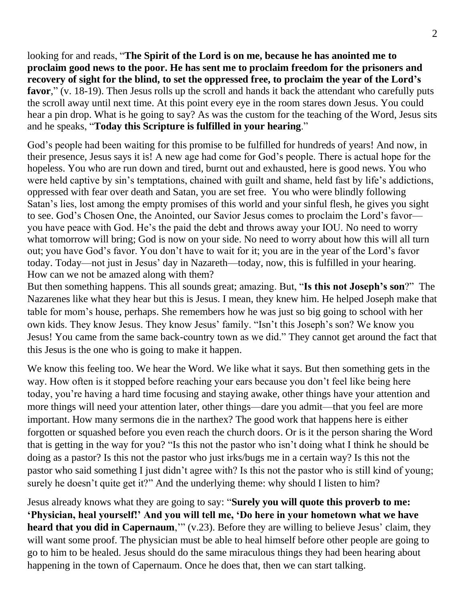looking for and reads, "**The Spirit of the Lord is on me, because he has anointed me to proclaim good news to the poor. He has sent me to proclaim freedom for the prisoners and recovery of sight for the blind, to set the oppressed free, to proclaim the year of the Lord's favor**," (v. 18-19). Then Jesus rolls up the scroll and hands it back the attendant who carefully puts the scroll away until next time. At this point every eye in the room stares down Jesus. You could hear a pin drop. What is he going to say? As was the custom for the teaching of the Word, Jesus sits and he speaks, "**Today this Scripture is fulfilled in your hearing**."

God's people had been waiting for this promise to be fulfilled for hundreds of years! And now, in their presence, Jesus says it is! A new age had come for God's people. There is actual hope for the hopeless. You who are run down and tired, burnt out and exhausted, here is good news. You who were held captive by sin's temptations, chained with guilt and shame, held fast by life's addictions, oppressed with fear over death and Satan, you are set free. You who were blindly following Satan's lies, lost among the empty promises of this world and your sinful flesh, he gives you sight to see. God's Chosen One, the Anointed, our Savior Jesus comes to proclaim the Lord's favor you have peace with God. He's the paid the debt and throws away your IOU. No need to worry what tomorrow will bring; God is now on your side. No need to worry about how this will all turn out; you have God's favor. You don't have to wait for it; you are in the year of the Lord's favor today. Today—not just in Jesus' day in Nazareth—today, now, this is fulfilled in your hearing. How can we not be amazed along with them?

But then something happens. This all sounds great; amazing. But, "**Is this not Joseph's son**?" The Nazarenes like what they hear but this is Jesus. I mean, they knew him. He helped Joseph make that table for mom's house, perhaps. She remembers how he was just so big going to school with her own kids. They know Jesus. They know Jesus' family. "Isn't this Joseph's son? We know you Jesus! You came from the same back-country town as we did." They cannot get around the fact that this Jesus is the one who is going to make it happen.

We know this feeling too. We hear the Word. We like what it says. But then something gets in the way. How often is it stopped before reaching your ears because you don't feel like being here today, you're having a hard time focusing and staying awake, other things have your attention and more things will need your attention later, other things—dare you admit—that you feel are more important. How many sermons die in the narthex? The good work that happens here is either forgotten or squashed before you even reach the church doors. Or is it the person sharing the Word that is getting in the way for you? "Is this not the pastor who isn't doing what I think he should be doing as a pastor? Is this not the pastor who just irks/bugs me in a certain way? Is this not the pastor who said something I just didn't agree with? Is this not the pastor who is still kind of young; surely he doesn't quite get it?" And the underlying theme: why should I listen to him?

Jesus already knows what they are going to say: "**Surely you will quote this proverb to me: 'Physician, heal yourself!' And you will tell me, 'Do here in your hometown what we have heard that you did in Capernaum,**" (v.23). Before they are willing to believe Jesus' claim, they will want some proof. The physician must be able to heal himself before other people are going to go to him to be healed. Jesus should do the same miraculous things they had been hearing about happening in the town of Capernaum. Once he does that, then we can start talking.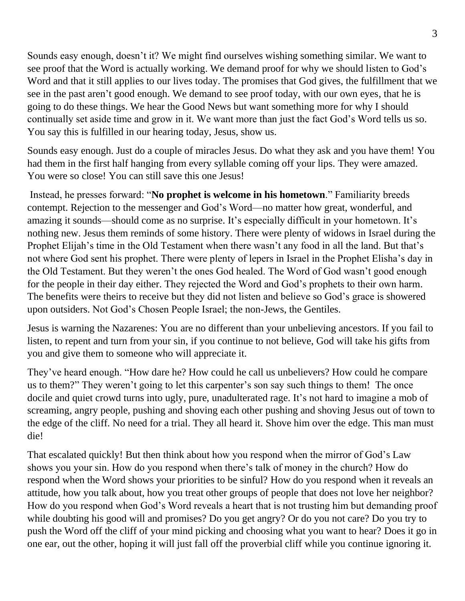Sounds easy enough, doesn't it? We might find ourselves wishing something similar. We want to see proof that the Word is actually working. We demand proof for why we should listen to God's Word and that it still applies to our lives today. The promises that God gives, the fulfillment that we see in the past aren't good enough. We demand to see proof today, with our own eyes, that he is going to do these things. We hear the Good News but want something more for why I should continually set aside time and grow in it. We want more than just the fact God's Word tells us so. You say this is fulfilled in our hearing today, Jesus, show us.

Sounds easy enough. Just do a couple of miracles Jesus. Do what they ask and you have them! You had them in the first half hanging from every syllable coming off your lips. They were amazed. You were so close! You can still save this one Jesus!

Instead, he presses forward: "**No prophet is welcome in his hometown**." Familiarity breeds contempt. Rejection to the messenger and God's Word—no matter how great, wonderful, and amazing it sounds—should come as no surprise. It's especially difficult in your hometown. It's nothing new. Jesus them reminds of some history. There were plenty of widows in Israel during the Prophet Elijah's time in the Old Testament when there wasn't any food in all the land. But that's not where God sent his prophet. There were plenty of lepers in Israel in the Prophet Elisha's day in the Old Testament. But they weren't the ones God healed. The Word of God wasn't good enough for the people in their day either. They rejected the Word and God's prophets to their own harm. The benefits were theirs to receive but they did not listen and believe so God's grace is showered upon outsiders. Not God's Chosen People Israel; the non-Jews, the Gentiles.

Jesus is warning the Nazarenes: You are no different than your unbelieving ancestors. If you fail to listen, to repent and turn from your sin, if you continue to not believe, God will take his gifts from you and give them to someone who will appreciate it.

They've heard enough. "How dare he? How could he call us unbelievers? How could he compare us to them?" They weren't going to let this carpenter's son say such things to them! The once docile and quiet crowd turns into ugly, pure, unadulterated rage. It's not hard to imagine a mob of screaming, angry people, pushing and shoving each other pushing and shoving Jesus out of town to the edge of the cliff. No need for a trial. They all heard it. Shove him over the edge. This man must die!

That escalated quickly! But then think about how you respond when the mirror of God's Law shows you your sin. How do you respond when there's talk of money in the church? How do respond when the Word shows your priorities to be sinful? How do you respond when it reveals an attitude, how you talk about, how you treat other groups of people that does not love her neighbor? How do you respond when God's Word reveals a heart that is not trusting him but demanding proof while doubting his good will and promises? Do you get angry? Or do you not care? Do you try to push the Word off the cliff of your mind picking and choosing what you want to hear? Does it go in one ear, out the other, hoping it will just fall off the proverbial cliff while you continue ignoring it.